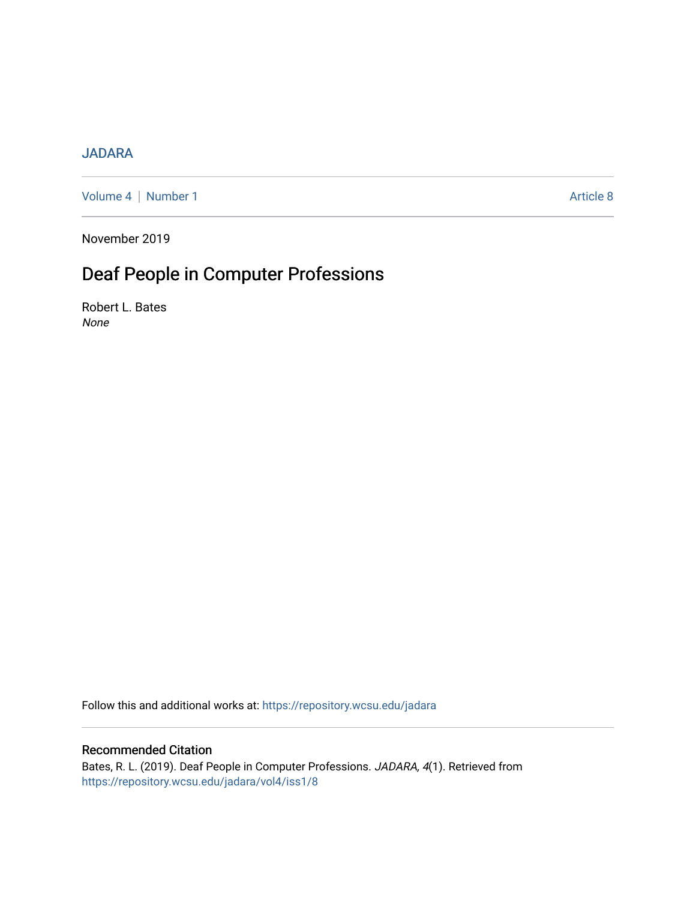## [JADARA](https://repository.wcsu.edu/jadara)

[Volume 4](https://repository.wcsu.edu/jadara/vol4) | [Number 1](https://repository.wcsu.edu/jadara/vol4/iss1) Article 8

November 2019

# Deaf People in Computer Professions

Robert L. Bates None

Follow this and additional works at: [https://repository.wcsu.edu/jadara](https://repository.wcsu.edu/jadara?utm_source=repository.wcsu.edu%2Fjadara%2Fvol4%2Fiss1%2F8&utm_medium=PDF&utm_campaign=PDFCoverPages)

### Recommended Citation

Bates, R. L. (2019). Deaf People in Computer Professions. JADARA, 4(1). Retrieved from [https://repository.wcsu.edu/jadara/vol4/iss1/8](https://repository.wcsu.edu/jadara/vol4/iss1/8?utm_source=repository.wcsu.edu%2Fjadara%2Fvol4%2Fiss1%2F8&utm_medium=PDF&utm_campaign=PDFCoverPages)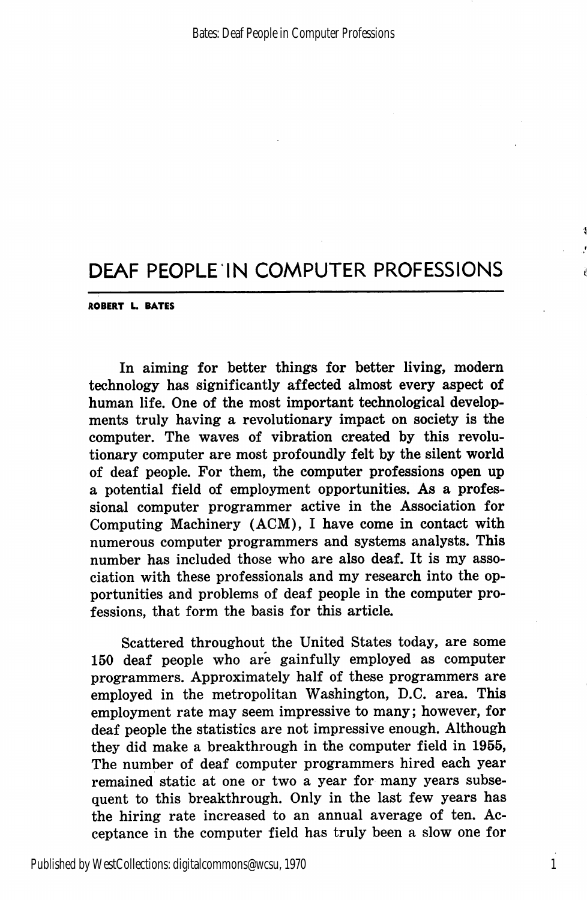ROBERT L. BATES

In aiming for better things for better living, modern technology has significantly affected almost every aspect of human life. One of the most important technological develop ments truly having a revolutionary impact on society is the computer. The waves of vibration created by this revolu tionary computer are most profoundly felt by the silent world of deaf people. For them, the computer professions open up a potential field of employment opportunities. As a profes sional computer programmer active in the Association for Computing Machinery (AGM), I have come in contact with numerous computer programmers and systems analysts. This number has included those who are also deaf. It is my asso ciation with these professionals and my research into the op portunities and problems of deaf people in the computer pro fessions, that form the basis for this article.

Scattered throughout the United States today, are some 150 deaf people who are gainfully employed as computer programmers. Approximately half of these programmers are employed in the metropolitan Washington, D.C. area. This employment rate may seem impressive to many; however, for deaf people the statistics are not impressive enough. Although they did make a breakthrough in the computer field in 1955, The number of deaf computer programmers hired each year remained static at one or two a year for many years subse quent to this breakthrough. Only in the last few years has the hiring rate increased to an annual average of ten. Ac ceptance in the computer field has truly been a slow one for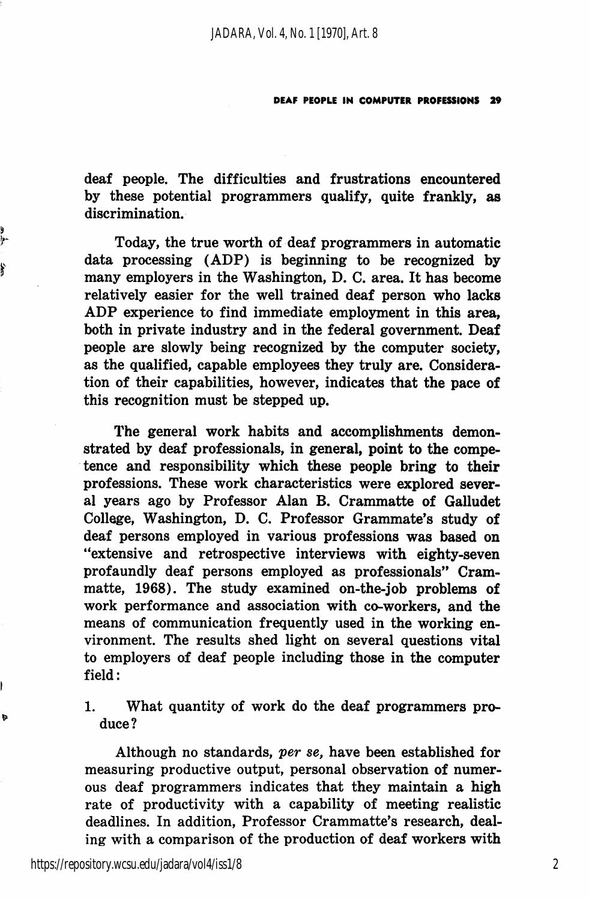deaf people. The difficulties and frustrations encountered by these potential programmers qualify, quite frankly, as discrimination.

Today, the true worth of deaf programmers in automatic data processing (ADP) is beginning to be recognized by many employers in the Washington, D. C. area. It has become relatively easier for the well trained deaf person who lacks ADP experience to find immediate employment in this area, both in private industry and in the federal government. Deaf people are slowly being recognized by the computer society, as the qualified, capable employees they truly are. Considera tion of their capabilities, however, indicates that the pace of this recognition must be stepped up.

The general work habits and accomplishments demon strated by deaf professionals, in general, point to the compe tence and responsibility which these people bring to their professions. These work characteristics were explored sever al years ago by Professor Alan B. Crammatte of Galludet College, Washington, D. C. Professor Grammate's study of deaf persons employed in various professions was based on "extensive and retrospective interviews with eighty-seven profaundly deaf persons employed as professionals" Crammatte, 1968). The study examined on-the-job problems of work performance and association with co-workers, and the means of communication frequently used in the working en vironment. The results shed light on several questions vital to employers of deaf people including those in the computer field:

1. What quantity of work do the deaf programmers pro duce?

Although no standards, per se, have been established for measuring productive output, personal observation of numer ous deaf programmers indicates that they maintain a high rate of productivity with a capability of meeting realistic deadlines. In addition. Professor Crammatte's research, deal ing with a comparison of the production of deaf workers with

y

f

b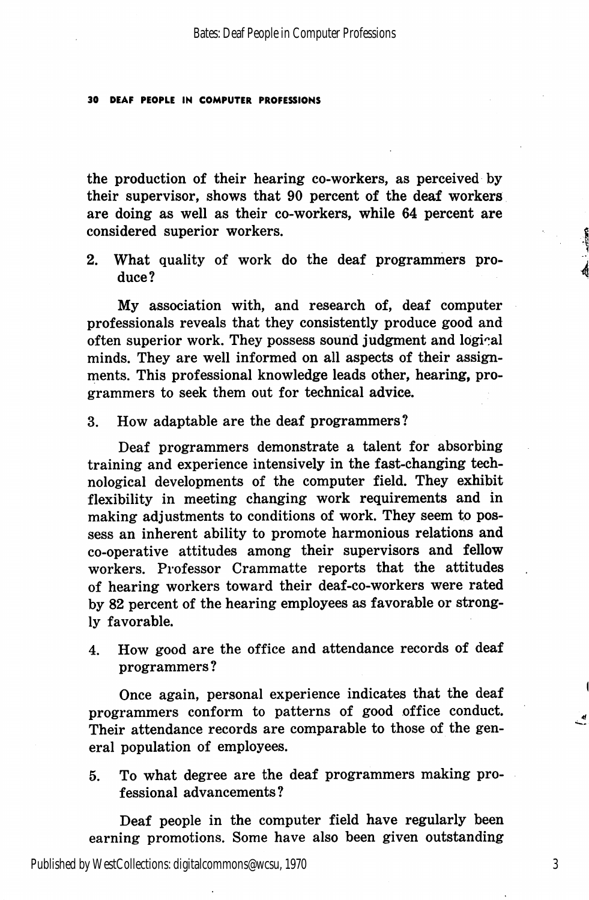the production of their hearing co-workers, as perceived by their supervisor, shows that 90 percent of the deaf workers are doing as well as their co-workers, while 64 percent are considered superior workers.

2. What quality of work do the deaf programmers pro duce?

My association with, and research of, deaf computer professionals reveals that they consistently produce good and often superior work. They possess sound judgment and logical minds. They are well informed on all aspects of their assign ments. This professional knowledge leads other, hearing, pro grammers to seek them out for technical advice.

3. How adaptable are the deaf programmers?

Deaf programmers demonstrate a talent for absorbing training and experience intensively in the fast-changing tech nological developments of the computer field. They exhibit flexibility in meeting changing work requirements and in making adjustments to conditions of work. They seem to pos sess an inherent ability to promote harmonious relations and co-operative attitudes among their supervisors and fellow workers. Professor Crammatte reports that the attitudes of hearing workers toward their deaf-co-workers were rated by 82 percent of the hearing employees as favorable or strong ly favorable.

4. How good are the office and attendance records of deaf programmers?

Once again, personal experience indicates that the deaf programmers conform to patterns of good office conduct. Their attendance records are comparable to those of the gen eral population of employees.

5. To what degree are the deaf programmers making pro fessional advancements?

Deaf people in the computer field have regularly been earning promotions. Some have also been given outstanding

Published by WestCollections: digitalcommons@wcsu, 1970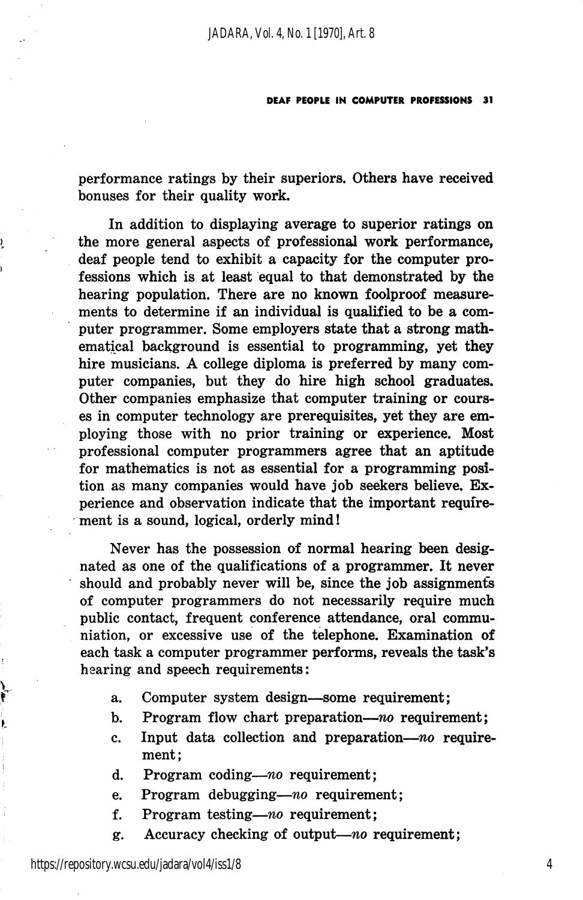performance ratings by their superiors. Others have received bonuses for their quality work.

In addition to displaying average to superior ratings on the more general aspects of professional work performance, deaf people tend to exhibit a capacity for the computer pro fessions which is at least equal to that demonstrated by the hearing population. There are no known foolproof measure ments to determine if an individual is qualified to be a com puter programmer. Some employers state that a strong math ematical background is essential to programming, yet they hire musicians. A college diploma is preferred by many com puter companies, but they do hire high school graduates. Other companies emphasize that computer training or cours es in computer technology are prerequisites, yet they are em ploying those with no prior training or experience. Most professional computer programmers agree that an aptitude for mathematics is not as essential for a programming posi tion as many companies would have job seekers believe. Ex perience and observation indicate that the important require ment is a sound, logical, orderly mind!

Never has the possession of normal hearing been desig nated as one of the qualifications of a programmer. It never should and probably never will be, since the job assignments of computer programmers do not necessarily require much public contact, frequent conference attendance, oral communiation, or excessive use of the telephone. Examination of each task a computer programmer performs, reveals the task's hearing and speech requirements:

- a. Computer system design—some requirement;
- b. Program flow chart preparation—no requirement;
- c. Input data collection and preparation— $no$  requirement;
- d. Program coding—no requirement;
- e. Program debugging—no requirement;
- f. Program testing—no requirement;
- g. Accuracy checking of output—no requirement;

,

j.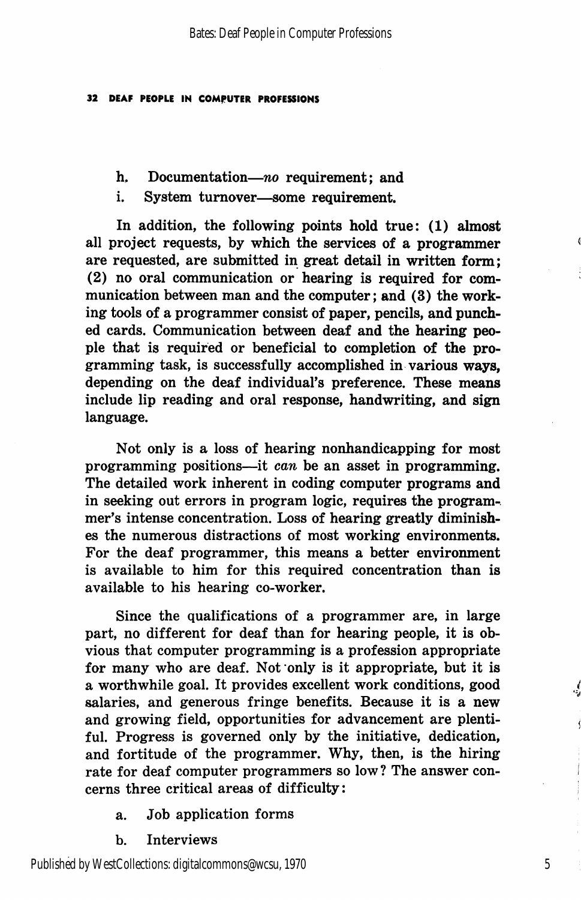- h. Documentation—no requirement; and
- i. System turnover—some requirement.

In addition, the following points hold true: (1) almost all project requests, by which the services of a programmer are requested, are submitted in great detail in written form; (2) no oral communication or hearing is required for com munication between man and the computer; and (3) the work ing tools of a programmer consist of paper, pencils, and punch ed cards. Communication between deaf and the hearing peo ple that is required or beneficial to completion of the pro gramming task, is successfully accomplished in various ways, depending on the deaf individual's preference. These means include lip reading and oral response, handwriting, and sign language.

Not only is a loss of hearing nonhandicapping for most programming positions—it can be an asset in programming. The detailed work inherent in coding computer programs and in seeking out errors in program logic, requires the program-, mer's intense concentration. Loss of hearing greatly diminish es the numerous distractions of most working environments. For the deaf programmer, this means a better environment is available to him for this required concentration than is available to his hearing co-worker.

Since the qualifications of a programmer are, in large part, no different for deaf than for hearing people, it is ob vious that computer programming is a profession appropriate for many who are deaf. Not only is it appropriate, but it is a worthwhile goal. It provides excellent work conditions, good salaries, and generous fringe benefits. Because it is a new and growing field, opportunities for advancement are plenti ful, Progress is governed only by the initiative, dedication, and fortitude of the programmer. Why, then, is the hiring rate for deaf computer programmers so low? The answer con cerns three critical areas of difficulty:

- a. Job application forms
- b. Interviews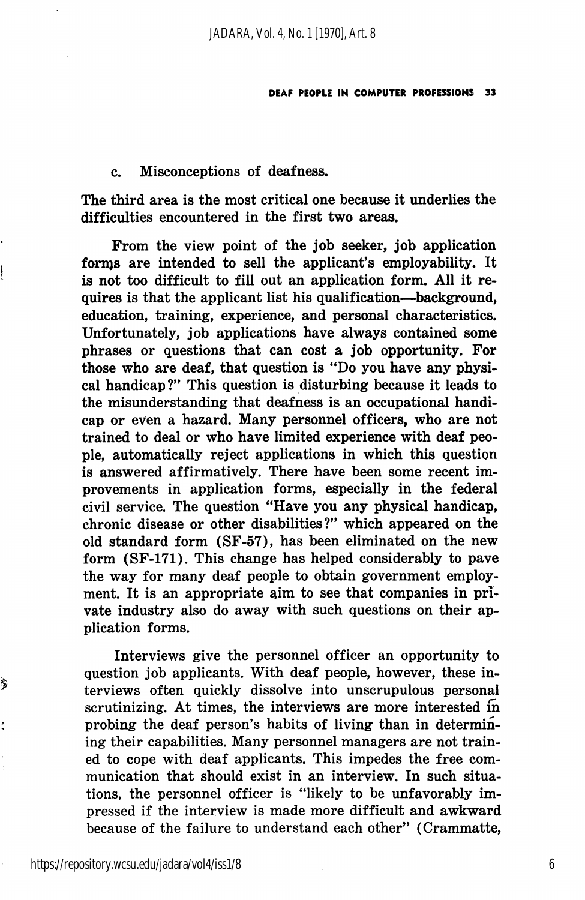#### c. Misconceptions of deafness.

The third area is the most critical one because it underlies the difficulties encountered in the first two areas.

From the view point of the job seeker, job application forms are intended to sell the applicant's employability. It is not too difficult to fill out an application form. All it re quires is that the applicant list his qualification—^background, education, training, experience, and personal characteristics. Unfortunately, job applications have always contained some phrases or questions that can cost a job opportunity. For those who are deaf, that question is "Do you have any physi cal handicap?" This question is disturbing because it leads to the misunderstanding that deafness is an occupational handi cap or even a hazard. Many personnel officers, who are not trained to deal or who have limited experience with deaf peo ple, automatically reject applications in which this question is answered affirmatively. There have been some recent im provements in application forms, especially in the federal civil service. The question "Have you any physical handicap, chronic disease or other disabilities?" which appeared on the old standard form (SF-57), has been eliminated on the new form (SF-171). This change has helped considerably to pave the way for many deaf people to obtain government employ ment. It is an appropriate aim to see that companies in pri vate industry also do away with such questions on their ap plication forms.

Interviews give the personnel officer an opportunity to question job applicants. With deaf people, however, these in terviews often quickly dissolve into unscrupulous personal scrutinizing. At times, the interviews are more interested in probing the deaf person's habits of living than in determin ing their capabilities. Many personnel managers are not train ed to cope with deaf applicants. This impedes the free com munication that should exist in an interview. In such situa tions, the personnel officer is "likely to be unfavorably im pressed if the interview is made more difficult and awkward because of the failure to understand each other" (Crammatte,

i.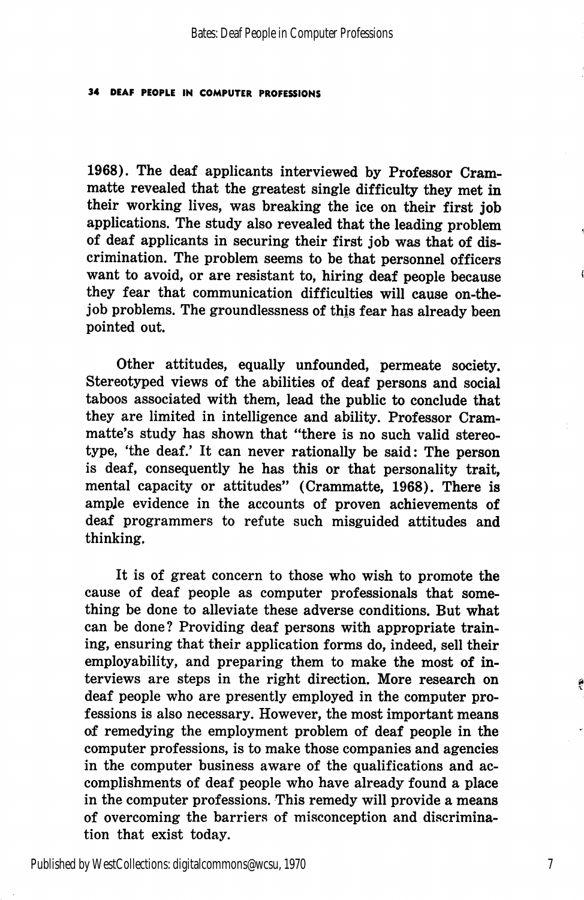1968). The deaf applicants interviewed by Professor Crammatte revealed that the greatest single difficulty they met in their working lives, was breaking the ice on their first job applications. The study also revealed that the leading problem of deaf applicants in securing their first job was that of dis crimination. The problem seems to be that personnel officers want to avoid, or are resistant to, hiring deaf people because they fear that communication difficulties will cause on-thejob problems. The groundlessness of this fear has already been pointed out.

Other attitudes, equally unfounded, permeate society. Stereotyped views of the abilities of deaf persons and social taboos associated with them, lead the public to conclude that they are limited in intelligence and ability. Professor Crammatte's study has shown that "there is no such valid stereo type, 'the deaf.' It can never rationally be said: The person is deaf, consequently he has this or that personality trait, mental capacity or attitudes" (Crammatte, 1968). There is ample evidence in the accounts of proven achievements of deaf programmers to refute such misguided attitudes and thinking.

It is of great concern to those who wish to promote the cause of deaf people as computer professionals that some thing be done to alleviate these adverse conditions. But what can be done? Providing deaf persons with appropriate train ing, ensuring that their application forms do, indeed, sell their employability, and preparing them to make the most of in terviews are steps in the right direction. More research on deaf people who are presently employed in the computer pro fessions is also necessary. However, the most important means of remedying the employment problem of deaf people in the computer professions, is to make those companies and agencies in the computer business aware of the qualifications and ac complishments of deaf people who have already found a place in the computer professions. This remedy will provide a means of overcoming the barriers of misconception and discrimination that exist today.